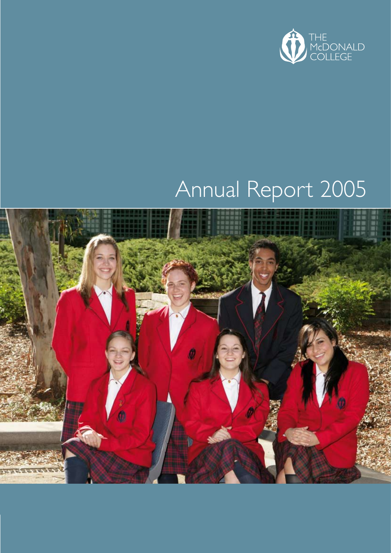

# Annual Report 2005

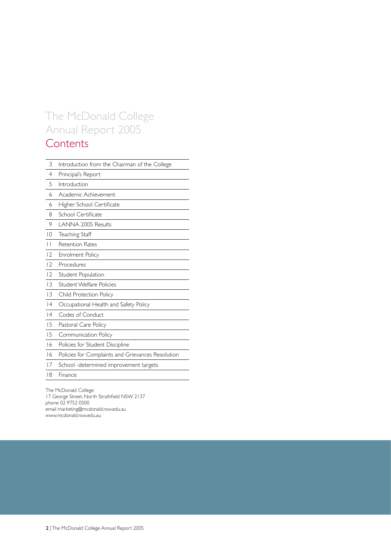## The McDonald College Annual Report 2005 **Contents**

#### Introduction from the Chairman of the College Principal's Report Introduction Academic Achievement Higher School Certificate School Certificate LANNA 2005 Results Teaching Staff Retention Rates Enrolment Policy Procedures Student Population Student Welfare Policies Child Protection Policy Occupational Health and Safety Policy Codes of Conduct Pastoral Care Policy Communication Policy Policies for Student Discipline Policies for Complaints and Grievances Resolution School -determined improvement targets Finance

The McDonald College 17 George Street, North Strathfield NSW 2137 phone 02 9752 0500 email marketing@mcdonald.nsw.edu.au www.mcdonald.nsw.edu.au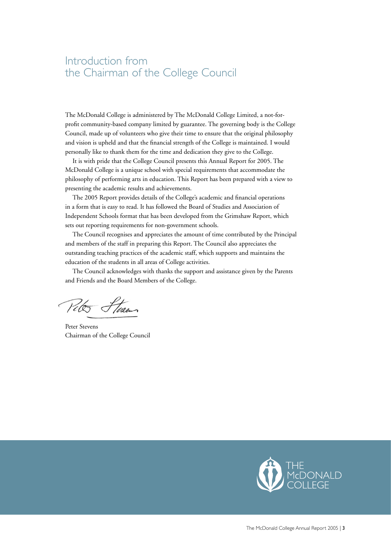#### Introduction from the Chairman of the College Council

The McDonald College is administered by The McDonald College Limited, a not-forprofit community-based company limited by guarantee. The governing body is the College Council, made up of volunteers who give their time to ensure that the original philosophy and vision is upheld and that the financial strength of the College is maintained. I would personally like to thank them for the time and dedication they give to the College.

It is with pride that the College Council presents this Annual Report for 2005. The McDonald College is a unique school with special requirements that accommodate the philosophy of performing arts in education. This Report has been prepared with a view to presenting the academic results and achievements.

The 2005 Report provides details of the College's academic and financial operations in a form that is easy to read. It has followed the Board of Studies and Association of Independent Schools format that has been developed from the Grimshaw Report, which sets out reporting requirements for non-government schools.

The Council recognises and appreciates the amount of time contributed by the Principal and members of the staff in preparing this Report. The Council also appreciates the outstanding teaching practices of the academic staff, which supports and maintains the education of the students in all areas of College activities.

The Council acknowledges with thanks the support and assistance given by the Parents and Friends and the Board Members of the College.

Peter Steven

Peter Stevens Chairman of the College Council

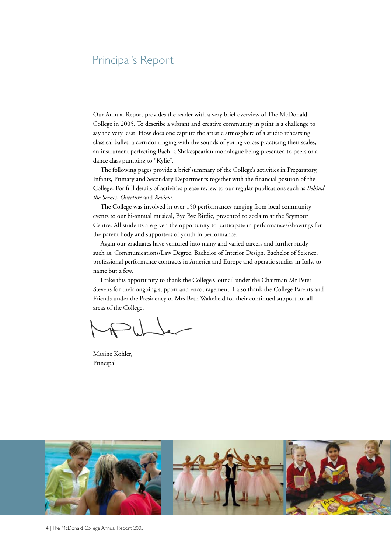#### Principal's Report

Our Annual Report provides the reader with a very brief overview of The McDonald College in 2005. To describe a vibrant and creative community in print is a challenge to say the very least. How does one capture the artistic atmosphere of a studio rehearsing classical ballet, a corridor ringing with the sounds of young voices practicing their scales, an instrument perfecting Bach, a Shakespearian monologue being presented to peers or a dance class pumping to "Kylie".

The following pages provide a brief summary of the College's activities in Preparatory, Infants, Primary and Secondary Departments together with the financial position of the College. For full details of activities please review to our regular publications such as *Behind the Scenes*, *Overture* and *Review*.

The College was involved in over 150 performances ranging from local community events to our bi-annual musical, Bye Bye Birdie, presented to acclaim at the Seymour Centre. All students are given the opportunity to participate in performances/showings for the parent body and supporters of youth in performance.

Again our graduates have ventured into many and varied careers and further study such as, Communications/Law Degree, Bachelor of Interior Design, Bachelor of Science, professional performance contracts in America and Europe and operatic studies in Italy, to name but a few.

I take this opportunity to thank the College Council under the Chairman Mr Peter Stevens for their ongoing support and encouragement. I also thank the College Parents and Friends under the Presidency of Mrs Beth Wakefield for their continued support for all areas of the College.

Maxine Kohler, Principal

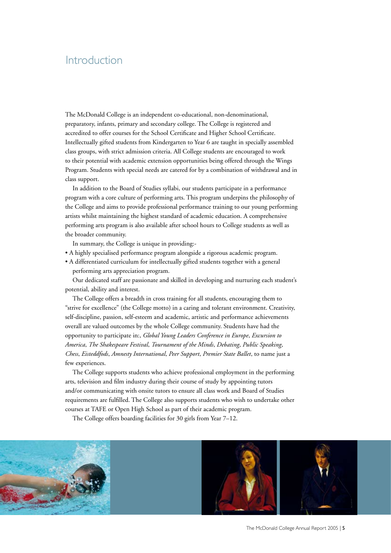#### Introduction

The McDonald College is an independent co-educational, non-denominational, preparatory, infants, primary and secondary college. The College is registered and accredited to offer courses for the School Certificate and Higher School Certificate. Intellectually gifted students from Kindergarten to Year 6 are taught in specially assembled class groups, with strict admission criteria. All College students are encouraged to work to their potential with academic extension opportunities being offered through the Wings Program. Students with special needs are catered for by a combination of withdrawal and in class support.

In addition to the Board of Studies syllabi, our students participate in a performance program with a core culture of performing arts. This program underpins the philosophy of the College and aims to provide professional performance training to our young performing artists whilst maintaining the highest standard of academic education. A comprehensive performing arts program is also available after school hours to College students as well as the broader community.

In summary, the College is unique in providing:-

- A highly specialised performance program alongside a rigorous academic program.
- A differentiated curriculum for intellectually gifted students together with a general performing arts appreciation program.

Our dedicated staff are passionate and skilled in developing and nurturing each student's potential, ability and interest.

The College offers a breadth in cross training for all students, encouraging them to "strive for excellence" (the College motto) in a caring and tolerant environment. Creativity, self-discipline, passion, self-esteem and academic, artistic and performance achievements overall are valued outcomes by the whole College community. Students have had the opportunity to participate in:, *Global Young Leaders Conference in Europe*, *Excursion to America*, *The Shakespeare Festival*, *Tournament of the Minds*, *Debating*, *Public Speaking*, *Chess*, *Eisteddfods*, *Amnesty International*, *Peer Support*, *Premier State Ballet*, to name just a few experiences.

The College supports students who achieve professional employment in the performing arts, television and film industry during their course of study by appointing tutors and/or communicating with onsite tutors to ensure all class work and Board of Studies requirements are fulfilled. The College also supports students who wish to undertake other courses at TAFE or Open High School as part of their academic program.

The College offers boarding facilities for 30 girls from Year 7–12.

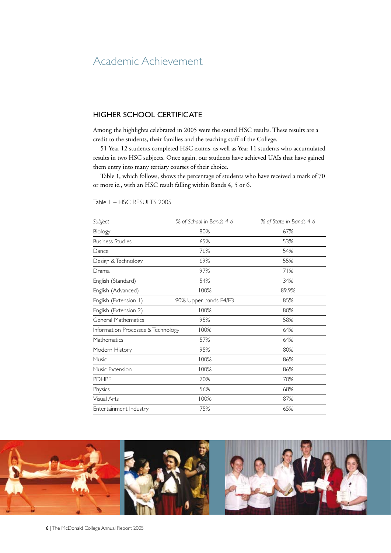#### Academic Achievement

#### HIGHER SCHOOL CERTIFICATE

Among the highlights celebrated in 2005 were the sound HSC results. These results are a credit to the students, their families and the teaching staff of the College.

51 Year 12 students completed HSC exams, as well as Year 11 students who accumulated results in two HSC subjects. Once again, our students have achieved UAIs that have gained them entry into many tertiary courses of their choice.

Table 1, which follows, shows the percentage of students who have received a mark of 70 or more ie., with an HSC result falling within Bands 4, 5 or 6.

| Subject                            | % of School in Bands 4-6 | % of State in Bands 4-6 |
|------------------------------------|--------------------------|-------------------------|
| Biology                            | 80%                      | 67%                     |
| <b>Business Studies</b>            | 65%                      | 53%                     |
| Dance                              | 76%                      | 54%                     |
| Design & Technology                | 69%                      | 55%                     |
| Drama                              | 97%                      | 71%                     |
| English (Standard)                 | 54%                      | 34%                     |
| English (Advanced)                 | 100%                     | 89.9%                   |
| English (Extension 1)              | 90% Upper bands E4/E3    | 85%                     |
| English (Extension 2)              | 100%                     | 80%                     |
| <b>General Mathematics</b>         | 95%                      | 58%                     |
| Information Processes & Technology | 100%                     | 64%                     |
| Mathematics                        | 57%                      | 64%                     |
| Modern History                     | 95%                      | 80%                     |
| Music I                            | 100%                     | 86%                     |
| Music Extension                    | 100%                     | 86%                     |
| <b>PDHPE</b>                       | 70%                      | 70%                     |
| Physics                            | 56%                      | 68%                     |
| Visual Arts                        | 100%                     | 87%                     |
| Entertainment Industry             | 75%                      | 65%                     |

Table 1 – HSC RESULTS 2005

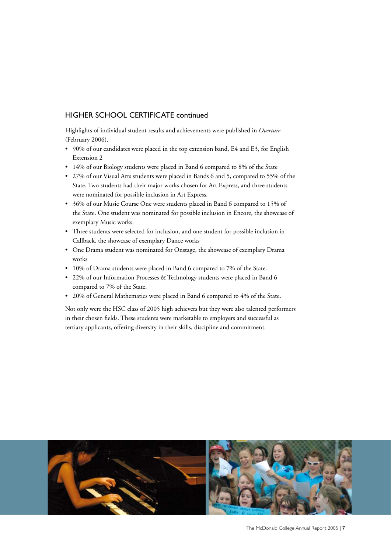#### HIGHER SCHOOL CERTIFICATE continued

Highlights of individual student results and achievements were published in *Overture* (February 2006).

- 90% of our candidates were placed in the top extension band, E4 and E3, for English Extension 2
- 14% of our Biology students were placed in Band 6 compared to 8% of the State
- 27% of our Visual Arts students were placed in Bands 6 and 5, compared to 55% of the State. Two students had their major works chosen for Art Express, and three students were nominated for possible inclusion in Art Express.
- 36% of our Music Course One were students placed in Band 6 compared to 15% of the State. One student was nominated for possible inclusion in Encore, the showcase of exemplary Music works.
- Three students were selected for inclusion, and one student for possible inclusion in Callback, the showcase of exemplary Dance works
- One Drama student was nominated for Onstage, the showcase of exemplary Drama works
- 10% of Drama students were placed in Band 6 compared to 7% of the State.
- 22% of our Information Processes & Technology students were placed in Band 6 compared to 7% of the State.
- 20% of General Mathematics were placed in Band 6 compared to 4% of the State.

Not only were the HSC class of 2005 high achievers but they were also talented performers in their chosen fields. These students were marketable to employers and successful as tertiary applicants, offering diversity in their skills, discipline and commitment.

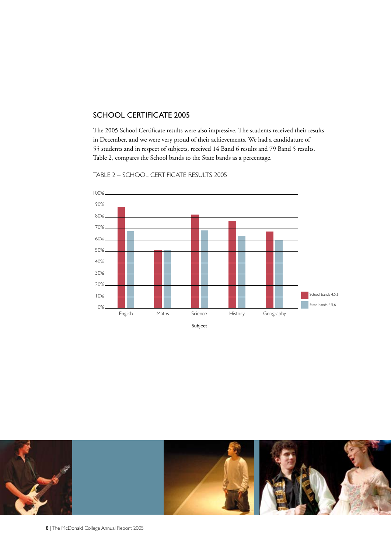#### SCHOOL CERTIFICATE 2005

The 2005 School Certificate results were also impressive. The students received their results in December, and we were very proud of their achievements. We had a candidature of 55 students and in respect of subjects, received 14 Band 6 results and 79 Band 5 results. Table 2, compares the School bands to the State bands as a percentage.



#### TABLE 2 – SCHOOL CERTIFICATE RESULTS 2005

Subject

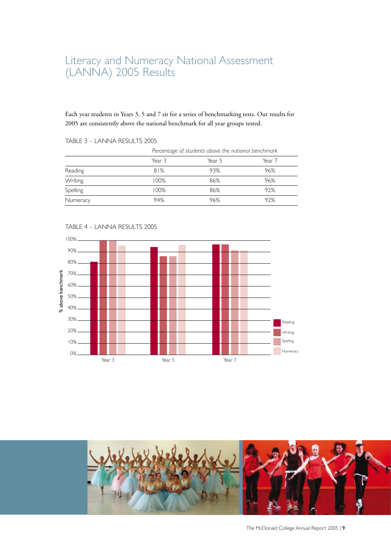## Literacy and Numeracy National Assessment (LANNA) 2005 Results

Each year students in Years 3, 5 and 7 sit for a series of benchmarking tests. Our results for 2005 are consistently above the national benchmark for all year groups tested.

|  | TABLE 3 – LANNA RESULTS 2005 |  |
|--|------------------------------|--|
|  |                              |  |

|          | Percentage of students above the national benchmark |        |        |
|----------|-----------------------------------------------------|--------|--------|
|          | Year 3                                              | Year 5 | Year 7 |
| Reading  | 81%                                                 | 93%    | 96%    |
| Writing  | 100%                                                | 86%    | 96%    |
| Spelling | 100%                                                | 86%    | 92%    |
| Numeracy | 94%                                                 | 96%    | 92%    |





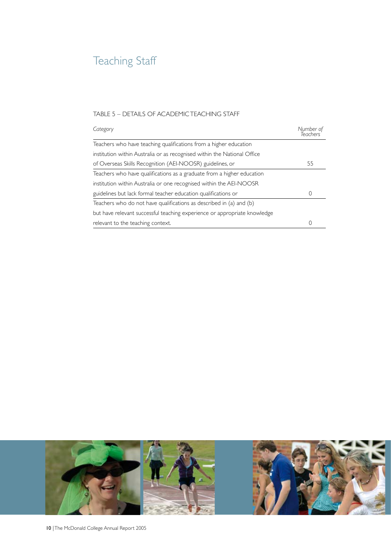# Teaching Staff

#### TABLE 5 – DETAILS OF ACADEMIC TEACHING STAFF

| Category                                                                  | Number of<br><b>Teachers</b> |
|---------------------------------------------------------------------------|------------------------------|
| Teachers who have teaching qualifications from a higher education         |                              |
| institution within Australia or as recognised within the National Office  |                              |
| of Overseas Skills Recognition (AEI-NOOSR) guidelines, or                 | 55                           |
| Teachers who have qualifications as a graduate from a higher education    |                              |
| institution within Australia or one recognised within the AEI-NOOSR       |                              |
| guidelines but lack formal teacher education qualifications or            | $\bigcirc$                   |
| Teachers who do not have qualifications as described in (a) and (b)       |                              |
| but have relevant successful teaching experience or appropriate knowledge |                              |
| relevant to the teaching context.                                         | $\bigcap$                    |

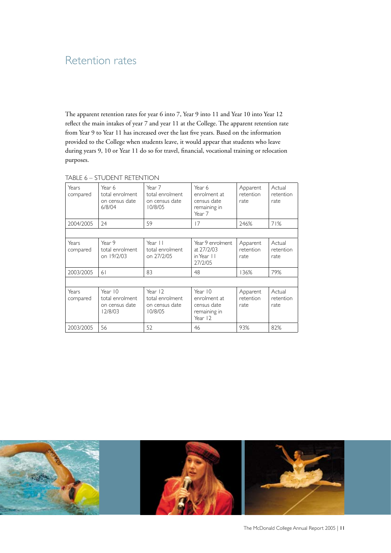## Retention rates

The apparent retention rates for year 6 into 7, Year 9 into 11 and Year 10 into Year 12 reflect the main intakes of year 7 and year 11 at the College. The apparent retention rate from Year 9 to Year 11 has increased over the last five years. Based on the information provided to the College when students leave, it would appear that students who leave during years 9, 10 or Year 11 do so for travel, financial, vocational training or relocation purposes.

| Years<br>compared | Year 6<br>total enrolment<br>on census date<br>6/8/04   | Year 7<br>total enrolment<br>on census date<br>10/8/05  | Year 6<br>enrolment at<br>census date<br>remaining in<br>Year 7   | Apparent<br>retention<br>rate | Actual<br>retention<br>rate |
|-------------------|---------------------------------------------------------|---------------------------------------------------------|-------------------------------------------------------------------|-------------------------------|-----------------------------|
| 2004/2005         | 24                                                      | 59                                                      | 17                                                                | 246%                          | 71%                         |
|                   |                                                         |                                                         |                                                                   |                               |                             |
| Years<br>compared | Year 9<br>total enrolment.<br>on 19/2/03                | Year II<br>total enrolment<br>on 27/2/05                | Year 9 enrolment<br>at 27/2/03<br>in Year    <br>27/2/05          | Apparent<br>retention<br>rate | Actual<br>retention<br>rate |
| 2003/2005         | 61                                                      | 83                                                      | 48                                                                | 136%                          | 79%                         |
|                   |                                                         |                                                         |                                                                   |                               |                             |
| Years<br>compared | Year 10<br>total enrolment<br>on census date<br>12/8/03 | Year 12<br>total enrolment<br>on census date<br>10/8/05 | Year 10<br>enrolment at<br>census date<br>remaining in<br>Year 12 | Apparent<br>retention<br>rate | Actual<br>retention<br>rate |
| 2003/2005         | 56                                                      | 52                                                      | 46                                                                | 93%                           | 82%                         |

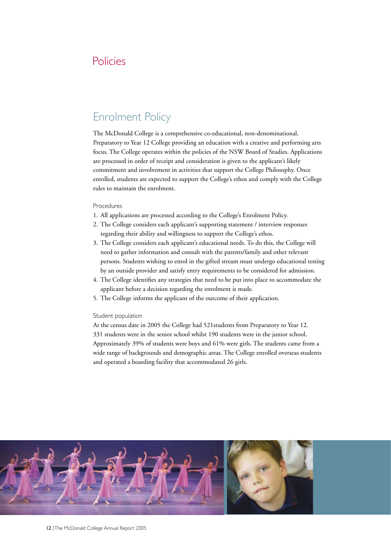#### Policies

## Enrolment Policy

The McDonald College is a comprehensive co-educational, non-denominational, Preparatory to Year 12 College providing an education with a creative and performing arts focus. The College operates within the policies of the NSW Board of Studies. Applications are processed in order of receipt and consideration is given to the applicant's likely commitment and involvement in activities that support the College Philosophy. Once enrolled, students are expected to support the College's ethos and comply with the College rules to maintain the enrolment.

#### Procedures

- 1. All applications are processed according to the College's Enrolment Policy.
- 2. The College considers each applicant's supporting statement / interview responses regarding their ability and willingness to support the College's ethos.
- 3. The College considers each applicant's educational needs. To do this, the College will need to gather information and consult with the parents/family and other relevant persons. Students wishing to enrol in the gifted stream must undergo educational testing by an outside provider and satisfy entry requirements to be considered for admission.
- 4. The College identifies any strategies that need to be put into place to accommodate the applicant before a decision regarding the enrolment is made.
- 5. The College informs the applicant of the outcome of their application.

#### Student population

At the census date in 2005 the College had 521students from Preparatory to Year 12. 331 students were in the senior school whilst 190 students were in the junior school. Approximately 39% of students were boys and 61% were girls. The students came from a wide range of backgrounds and demographic areas. The College enrolled overseas students and operated a boarding facility that accommodated 26 girls.

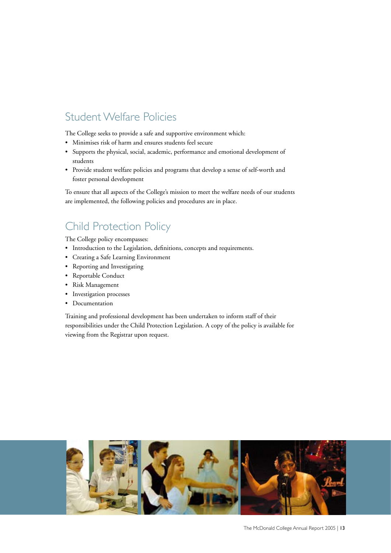## Student Welfare Policies

The College seeks to provide a safe and supportive environment which:

- Minimises risk of harm and ensures students feel secure
- Supports the physical, social, academic, performance and emotional development of students
- Provide student welfare policies and programs that develop a sense of self-worth and foster personal development

To ensure that all aspects of the College's mission to meet the welfare needs of our students are implemented, the following policies and procedures are in place.

## Child Protection Policy

The College policy encompasses:

- Introduction to the Legislation, definitions, concepts and requirements.
- Creating a Safe Learning Environment
- Reporting and Investigating
- Reportable Conduct
- Risk Management
- Investigation processes
- Documentation

Training and professional development has been undertaken to inform staff of their responsibilities under the Child Protection Legislation. A copy of the policy is available for viewing from the Registrar upon request.

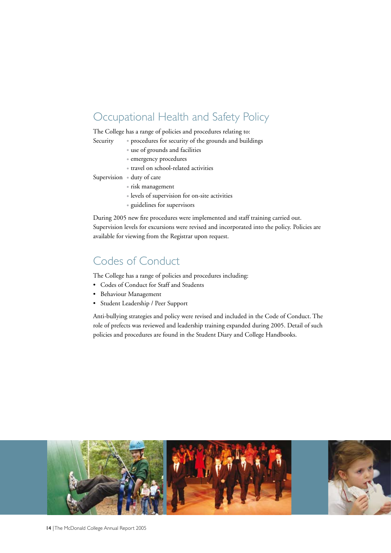## Occupational Health and Safety Policy

The College has a range of policies and procedures relating to:

Security • procedures for security of the grounds and buildings

- use of grounds and facilities
- emergency procedures
- travel on school-related activities

Supervision • duty of care

- risk management
- levels of supervision for on-site activities
- guidelines for supervisors

During 2005 new fire procedures were implemented and staff training carried out. Supervision levels for excursions were revised and incorporated into the policy. Policies are available for viewing from the Registrar upon request.

#### Codes of Conduct

The College has a range of policies and procedures including:

- Codes of Conduct for Staff and Students
- Behaviour Management
- Student Leadership / Peer Support

Anti-bullying strategies and policy were revised and included in the Code of Conduct. The role of prefects was reviewed and leadership training expanded during 2005. Detail of such policies and procedures are found in the Student Diary and College Handbooks.

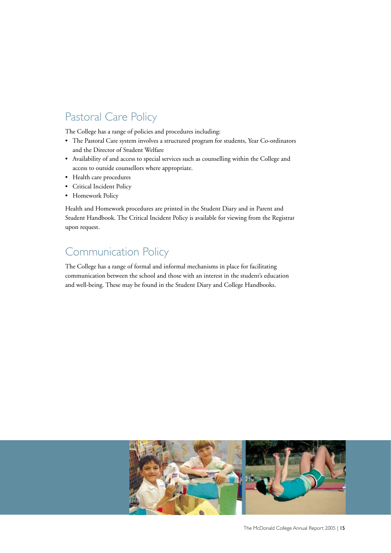## Pastoral Care Policy

The College has a range of policies and procedures including:

- The Pastoral Care system involves a structured program for students, Year Co-ordinators and the Director of Student Welfare
- Availability of and access to special services such as counselling within the College and access to outside counsellors where appropriate.
- Health care procedures
- Critical Incident Policy
- Homework Policy

Health and Homework procedures are printed in the Student Diary and in Parent and Student Handbook. The Critical Incident Policy is available for viewing from the Registrar upon request.

## Communication Policy

The College has a range of formal and informal mechanisms in place for facilitating communication between the school and those with an interest in the student's education and well-being. These may be found in the Student Diary and College Handbooks.

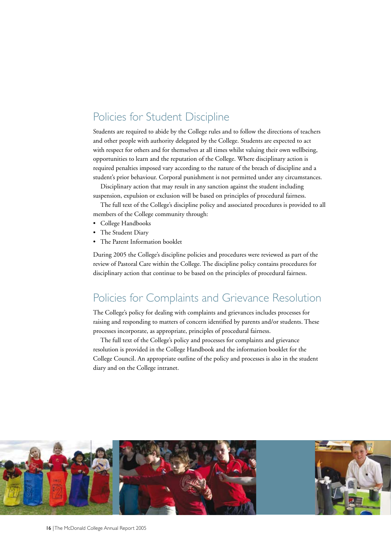## Policies for Student Discipline

Students are required to abide by the College rules and to follow the directions of teachers and other people with authority delegated by the College. Students are expected to act with respect for others and for themselves at all times whilst valuing their own wellbeing, opportunities to learn and the reputation of the College. Where disciplinary action is required penalties imposed vary according to the nature of the breach of discipline and a student's prior behaviour. Corporal punishment is not permitted under any circumstances.

Disciplinary action that may result in any sanction against the student including suspension, expulsion or exclusion will be based on principles of procedural fairness.

The full text of the College's discipline policy and associated procedures is provided to all members of the College community through:

- College Handbooks
- The Student Diary
- The Parent Information booklet

During 2005 the College's discipline policies and procedures were reviewed as part of the review of Pastoral Care within the College. The discipline policy contains procedures for disciplinary action that continue to be based on the principles of procedural fairness.

#### Policies for Complaints and Grievance Resolution

The College's policy for dealing with complaints and grievances includes processes for raising and responding to matters of concern identified by parents and/or students. These processes incorporate, as appropriate, principles of procedural fairness.

The full text of the College's policy and processes for complaints and grievance resolution is provided in the College Handbook and the information booklet for the College Council. An appropriate outline of the policy and processes is also in the student diary and on the College intranet.

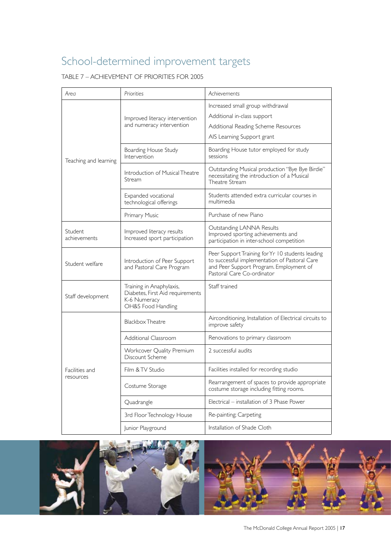# School-determined improvement targets

#### TABLE 7 – ACHIEVEMENT OF PRIORITIES FOR 2005

| Area                                                                                                                    | Priorities                                                                                                                                                                 | Achievements                                                                                                                                                               |  |
|-------------------------------------------------------------------------------------------------------------------------|----------------------------------------------------------------------------------------------------------------------------------------------------------------------------|----------------------------------------------------------------------------------------------------------------------------------------------------------------------------|--|
| Teaching and learning                                                                                                   | Improved literacy intervention<br>and numeracy intervention                                                                                                                | Increased small group withdrawal<br>Additional in-class support<br>Additional Reading Scheme Resources<br>AIS Learning Support grant                                       |  |
|                                                                                                                         | Boarding House Study<br>Intervention                                                                                                                                       | Boarding House tutor employed for study<br>sessions                                                                                                                        |  |
|                                                                                                                         | Introduction of Musical Theatre<br>Stream                                                                                                                                  | Outstanding Musical production "Bye Bye Birdie"<br>necessitating the introduction of a Musical<br>Theatre Stream                                                           |  |
|                                                                                                                         | Expanded vocational<br>technological offerings                                                                                                                             | Students attended extra curricular courses in<br>multimedia                                                                                                                |  |
|                                                                                                                         | Primary Music                                                                                                                                                              | Purchase of new Piano                                                                                                                                                      |  |
| Student<br>achievements                                                                                                 | Outstanding LANNA Results<br>Improved literacy results<br>Improved sporting achievements and<br>Increased sport participation<br>participation in inter-school competition |                                                                                                                                                                            |  |
| Introduction of Peer Support<br>Student welfare<br>and Pastoral Care Program                                            |                                                                                                                                                                            | Peer Support Training for Yr 10 students leading<br>to successful implementation of Pastoral Care<br>and Peer Support Program. Employment of<br>Pastoral Care Co-ordinator |  |
| Training in Anaphylaxis,<br>Diabetes, First Aid requirements<br>Staff development<br>K-6 Numeracy<br>OH&S Food Handling |                                                                                                                                                                            | Staff trained                                                                                                                                                              |  |
|                                                                                                                         | <b>Blackbox Theatre</b>                                                                                                                                                    | Airconditioning, Installation of Electrical circuits to<br>improve safety                                                                                                  |  |
| Facilities and<br>resources                                                                                             | Additional Classroom                                                                                                                                                       | Renovations to primary classroom                                                                                                                                           |  |
|                                                                                                                         | Workcover Quality Premium<br>Discount Scheme                                                                                                                               | 2 successful audits                                                                                                                                                        |  |
|                                                                                                                         | Film & TV Studio                                                                                                                                                           | Facilities installed for recording studio                                                                                                                                  |  |
|                                                                                                                         | Costume Storage                                                                                                                                                            | Rearrangement of spaces to provide appropriate<br>costume storage including fitting rooms.                                                                                 |  |
|                                                                                                                         | Quadrangle                                                                                                                                                                 | Electrical - installation of 3 Phase Power                                                                                                                                 |  |
|                                                                                                                         | 3rd Floor Technology House                                                                                                                                                 | Re-painting; Carpeting                                                                                                                                                     |  |
|                                                                                                                         | Junior Playground                                                                                                                                                          | Installation of Shade Cloth                                                                                                                                                |  |

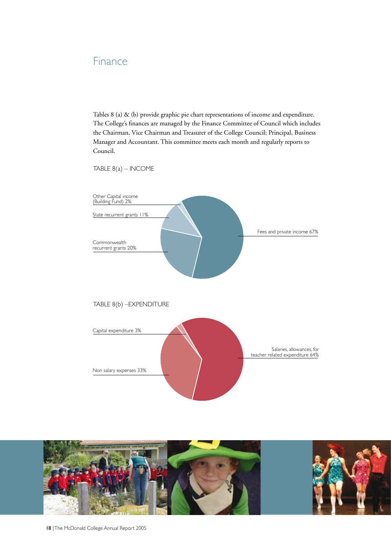#### Finance

Tables 8 (a) & (b) provide graphic pie chart representations of income and expenditure. The College's finances are managed by the Finance Committee of Council which includes the Chairman, Vice Chairman and Treasurer of the College Council; Principal, Business Manager and Accountant. This committee meets each month and regularly reports to Council.

TABLE 8(a) – INCOME



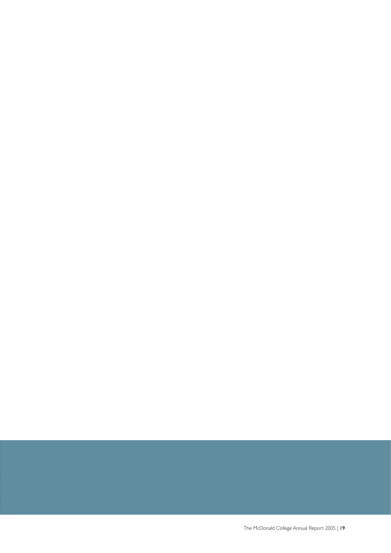The McDonald College Annual Report 2005 | 19